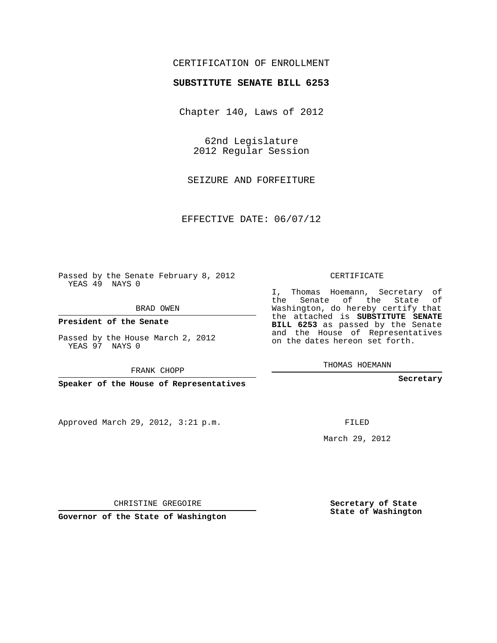## CERTIFICATION OF ENROLLMENT

## **SUBSTITUTE SENATE BILL 6253**

Chapter 140, Laws of 2012

62nd Legislature 2012 Regular Session

SEIZURE AND FORFEITURE

EFFECTIVE DATE: 06/07/12

Passed by the Senate February 8, 2012 YEAS 49 NAYS 0

BRAD OWEN

**President of the Senate**

Passed by the House March 2, 2012 YEAS 97 NAYS 0

FRANK CHOPP

**Speaker of the House of Representatives**

Approved March 29, 2012, 3:21 p.m.

CERTIFICATE

I, Thomas Hoemann, Secretary of the Senate of the State of Washington, do hereby certify that the attached is **SUBSTITUTE SENATE BILL 6253** as passed by the Senate and the House of Representatives on the dates hereon set forth.

THOMAS HOEMANN

**Secretary**

FILED

March 29, 2012

**Secretary of State State of Washington**

CHRISTINE GREGOIRE

**Governor of the State of Washington**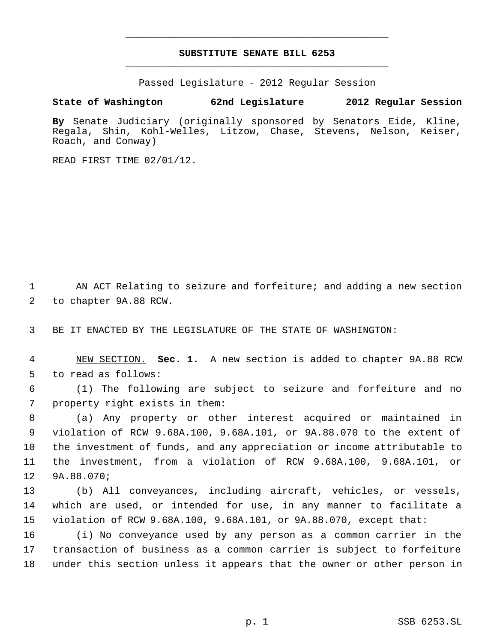## **SUBSTITUTE SENATE BILL 6253** \_\_\_\_\_\_\_\_\_\_\_\_\_\_\_\_\_\_\_\_\_\_\_\_\_\_\_\_\_\_\_\_\_\_\_\_\_\_\_\_\_\_\_\_\_

\_\_\_\_\_\_\_\_\_\_\_\_\_\_\_\_\_\_\_\_\_\_\_\_\_\_\_\_\_\_\_\_\_\_\_\_\_\_\_\_\_\_\_\_\_

Passed Legislature - 2012 Regular Session

**State of Washington 62nd Legislature 2012 Regular Session**

**By** Senate Judiciary (originally sponsored by Senators Eide, Kline, Regala, Shin, Kohl-Welles, Litzow, Chase, Stevens, Nelson, Keiser, Roach, and Conway)

READ FIRST TIME 02/01/12.

1 AN ACT Relating to seizure and forfeiture; and adding a new section to chapter 9A.88 RCW.

BE IT ENACTED BY THE LEGISLATURE OF THE STATE OF WASHINGTON:

 NEW SECTION. **Sec. 1.** A new section is added to chapter 9A.88 RCW to read as follows:

 (1) The following are subject to seizure and forfeiture and no property right exists in them:

 (a) Any property or other interest acquired or maintained in violation of RCW 9.68A.100, 9.68A.101, or 9A.88.070 to the extent of the investment of funds, and any appreciation or income attributable to the investment, from a violation of RCW 9.68A.100, 9.68A.101, or 9A.88.070;

 (b) All conveyances, including aircraft, vehicles, or vessels, which are used, or intended for use, in any manner to facilitate a violation of RCW 9.68A.100, 9.68A.101, or 9A.88.070, except that:

 (i) No conveyance used by any person as a common carrier in the transaction of business as a common carrier is subject to forfeiture under this section unless it appears that the owner or other person in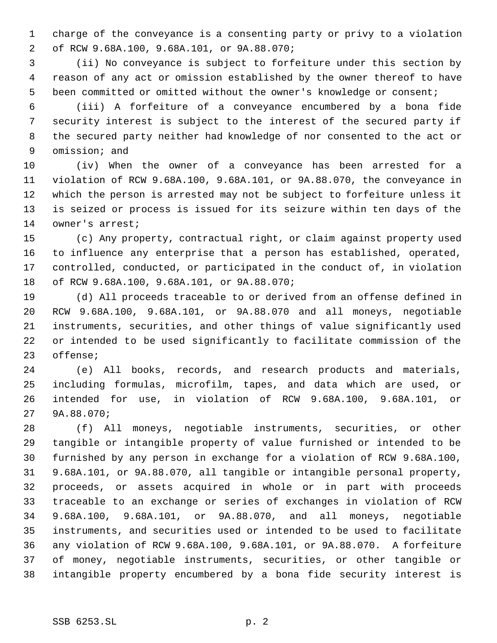charge of the conveyance is a consenting party or privy to a violation of RCW 9.68A.100, 9.68A.101, or 9A.88.070;

 (ii) No conveyance is subject to forfeiture under this section by reason of any act or omission established by the owner thereof to have been committed or omitted without the owner's knowledge or consent;

 (iii) A forfeiture of a conveyance encumbered by a bona fide security interest is subject to the interest of the secured party if the secured party neither had knowledge of nor consented to the act or omission; and

 (iv) When the owner of a conveyance has been arrested for a violation of RCW 9.68A.100, 9.68A.101, or 9A.88.070, the conveyance in which the person is arrested may not be subject to forfeiture unless it is seized or process is issued for its seizure within ten days of the owner's arrest;

 (c) Any property, contractual right, or claim against property used to influence any enterprise that a person has established, operated, controlled, conducted, or participated in the conduct of, in violation of RCW 9.68A.100, 9.68A.101, or 9A.88.070;

 (d) All proceeds traceable to or derived from an offense defined in RCW 9.68A.100, 9.68A.101, or 9A.88.070 and all moneys, negotiable instruments, securities, and other things of value significantly used or intended to be used significantly to facilitate commission of the offense;

 (e) All books, records, and research products and materials, including formulas, microfilm, tapes, and data which are used, or intended for use, in violation of RCW 9.68A.100, 9.68A.101, or 9A.88.070;

 (f) All moneys, negotiable instruments, securities, or other tangible or intangible property of value furnished or intended to be furnished by any person in exchange for a violation of RCW 9.68A.100, 9.68A.101, or 9A.88.070, all tangible or intangible personal property, proceeds, or assets acquired in whole or in part with proceeds traceable to an exchange or series of exchanges in violation of RCW 9.68A.100, 9.68A.101, or 9A.88.070, and all moneys, negotiable instruments, and securities used or intended to be used to facilitate any violation of RCW 9.68A.100, 9.68A.101, or 9A.88.070. A forfeiture of money, negotiable instruments, securities, or other tangible or intangible property encumbered by a bona fide security interest is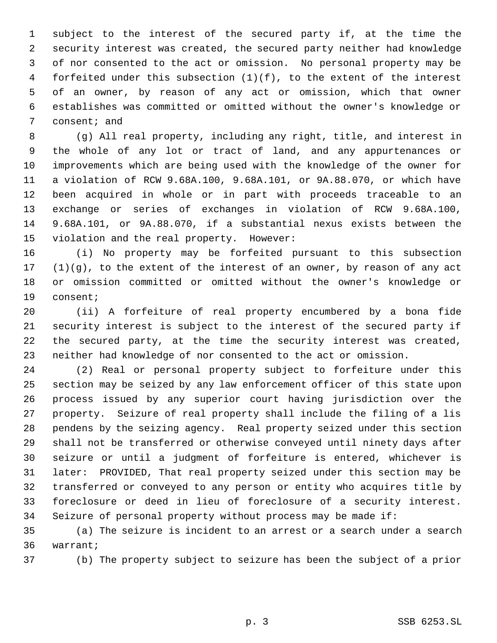subject to the interest of the secured party if, at the time the security interest was created, the secured party neither had knowledge of nor consented to the act or omission. No personal property may be forfeited under this subsection (1)(f), to the extent of the interest of an owner, by reason of any act or omission, which that owner establishes was committed or omitted without the owner's knowledge or consent; and

 (g) All real property, including any right, title, and interest in the whole of any lot or tract of land, and any appurtenances or improvements which are being used with the knowledge of the owner for a violation of RCW 9.68A.100, 9.68A.101, or 9A.88.070, or which have been acquired in whole or in part with proceeds traceable to an exchange or series of exchanges in violation of RCW 9.68A.100, 9.68A.101, or 9A.88.070, if a substantial nexus exists between the violation and the real property. However:

 (i) No property may be forfeited pursuant to this subsection (1)(g), to the extent of the interest of an owner, by reason of any act or omission committed or omitted without the owner's knowledge or consent;

 (ii) A forfeiture of real property encumbered by a bona fide security interest is subject to the interest of the secured party if the secured party, at the time the security interest was created, neither had knowledge of nor consented to the act or omission.

 (2) Real or personal property subject to forfeiture under this section may be seized by any law enforcement officer of this state upon process issued by any superior court having jurisdiction over the property. Seizure of real property shall include the filing of a lis pendens by the seizing agency. Real property seized under this section shall not be transferred or otherwise conveyed until ninety days after seizure or until a judgment of forfeiture is entered, whichever is later: PROVIDED, That real property seized under this section may be transferred or conveyed to any person or entity who acquires title by foreclosure or deed in lieu of foreclosure of a security interest. Seizure of personal property without process may be made if:

 (a) The seizure is incident to an arrest or a search under a search warrant;

(b) The property subject to seizure has been the subject of a prior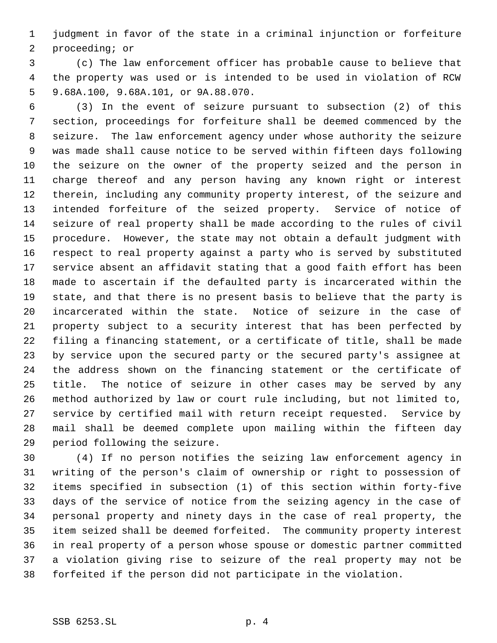judgment in favor of the state in a criminal injunction or forfeiture proceeding; or

 (c) The law enforcement officer has probable cause to believe that the property was used or is intended to be used in violation of RCW 9.68A.100, 9.68A.101, or 9A.88.070.

 (3) In the event of seizure pursuant to subsection (2) of this section, proceedings for forfeiture shall be deemed commenced by the seizure. The law enforcement agency under whose authority the seizure was made shall cause notice to be served within fifteen days following the seizure on the owner of the property seized and the person in charge thereof and any person having any known right or interest therein, including any community property interest, of the seizure and intended forfeiture of the seized property. Service of notice of seizure of real property shall be made according to the rules of civil procedure. However, the state may not obtain a default judgment with respect to real property against a party who is served by substituted service absent an affidavit stating that a good faith effort has been made to ascertain if the defaulted party is incarcerated within the state, and that there is no present basis to believe that the party is incarcerated within the state. Notice of seizure in the case of property subject to a security interest that has been perfected by filing a financing statement, or a certificate of title, shall be made by service upon the secured party or the secured party's assignee at the address shown on the financing statement or the certificate of title. The notice of seizure in other cases may be served by any method authorized by law or court rule including, but not limited to, service by certified mail with return receipt requested. Service by mail shall be deemed complete upon mailing within the fifteen day period following the seizure.

 (4) If no person notifies the seizing law enforcement agency in writing of the person's claim of ownership or right to possession of items specified in subsection (1) of this section within forty-five days of the service of notice from the seizing agency in the case of personal property and ninety days in the case of real property, the item seized shall be deemed forfeited. The community property interest in real property of a person whose spouse or domestic partner committed a violation giving rise to seizure of the real property may not be forfeited if the person did not participate in the violation.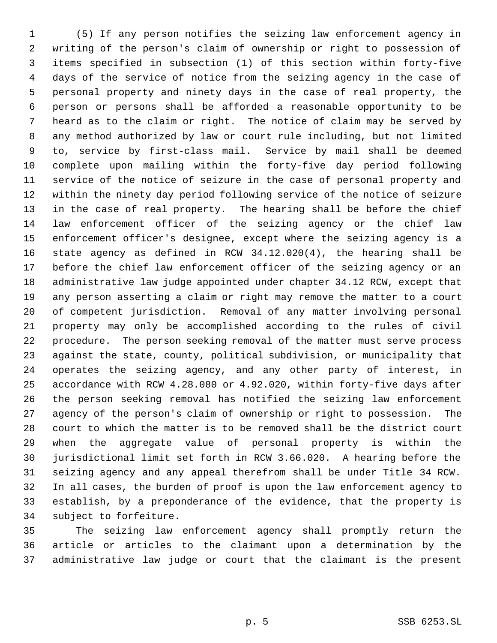(5) If any person notifies the seizing law enforcement agency in writing of the person's claim of ownership or right to possession of items specified in subsection (1) of this section within forty-five days of the service of notice from the seizing agency in the case of personal property and ninety days in the case of real property, the person or persons shall be afforded a reasonable opportunity to be heard as to the claim or right. The notice of claim may be served by any method authorized by law or court rule including, but not limited to, service by first-class mail. Service by mail shall be deemed complete upon mailing within the forty-five day period following service of the notice of seizure in the case of personal property and within the ninety day period following service of the notice of seizure in the case of real property. The hearing shall be before the chief law enforcement officer of the seizing agency or the chief law enforcement officer's designee, except where the seizing agency is a state agency as defined in RCW 34.12.020(4), the hearing shall be before the chief law enforcement officer of the seizing agency or an administrative law judge appointed under chapter 34.12 RCW, except that any person asserting a claim or right may remove the matter to a court of competent jurisdiction. Removal of any matter involving personal property may only be accomplished according to the rules of civil procedure. The person seeking removal of the matter must serve process against the state, county, political subdivision, or municipality that operates the seizing agency, and any other party of interest, in accordance with RCW 4.28.080 or 4.92.020, within forty-five days after the person seeking removal has notified the seizing law enforcement agency of the person's claim of ownership or right to possession. The court to which the matter is to be removed shall be the district court when the aggregate value of personal property is within the jurisdictional limit set forth in RCW 3.66.020. A hearing before the seizing agency and any appeal therefrom shall be under Title 34 RCW. In all cases, the burden of proof is upon the law enforcement agency to establish, by a preponderance of the evidence, that the property is subject to forfeiture.

 The seizing law enforcement agency shall promptly return the article or articles to the claimant upon a determination by the administrative law judge or court that the claimant is the present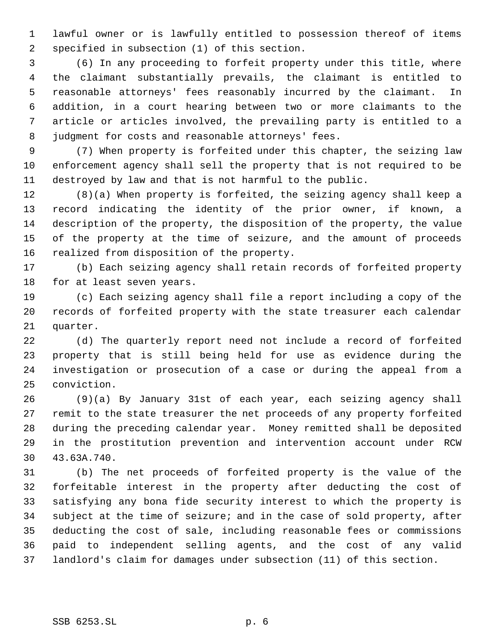lawful owner or is lawfully entitled to possession thereof of items specified in subsection (1) of this section.

 (6) In any proceeding to forfeit property under this title, where the claimant substantially prevails, the claimant is entitled to reasonable attorneys' fees reasonably incurred by the claimant. In addition, in a court hearing between two or more claimants to the article or articles involved, the prevailing party is entitled to a judgment for costs and reasonable attorneys' fees.

 (7) When property is forfeited under this chapter, the seizing law enforcement agency shall sell the property that is not required to be destroyed by law and that is not harmful to the public.

 (8)(a) When property is forfeited, the seizing agency shall keep a record indicating the identity of the prior owner, if known, a description of the property, the disposition of the property, the value of the property at the time of seizure, and the amount of proceeds realized from disposition of the property.

 (b) Each seizing agency shall retain records of forfeited property for at least seven years.

 (c) Each seizing agency shall file a report including a copy of the records of forfeited property with the state treasurer each calendar quarter.

 (d) The quarterly report need not include a record of forfeited property that is still being held for use as evidence during the investigation or prosecution of a case or during the appeal from a conviction.

 (9)(a) By January 31st of each year, each seizing agency shall remit to the state treasurer the net proceeds of any property forfeited during the preceding calendar year. Money remitted shall be deposited in the prostitution prevention and intervention account under RCW 43.63A.740.

 (b) The net proceeds of forfeited property is the value of the forfeitable interest in the property after deducting the cost of satisfying any bona fide security interest to which the property is subject at the time of seizure; and in the case of sold property, after deducting the cost of sale, including reasonable fees or commissions paid to independent selling agents, and the cost of any valid landlord's claim for damages under subsection (11) of this section.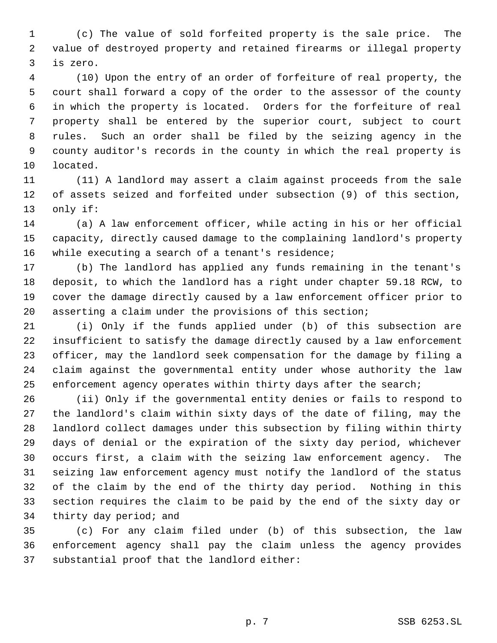(c) The value of sold forfeited property is the sale price. The value of destroyed property and retained firearms or illegal property is zero.

 (10) Upon the entry of an order of forfeiture of real property, the court shall forward a copy of the order to the assessor of the county in which the property is located. Orders for the forfeiture of real property shall be entered by the superior court, subject to court rules. Such an order shall be filed by the seizing agency in the county auditor's records in the county in which the real property is located.

 (11) A landlord may assert a claim against proceeds from the sale of assets seized and forfeited under subsection (9) of this section, only if:

 (a) A law enforcement officer, while acting in his or her official capacity, directly caused damage to the complaining landlord's property while executing a search of a tenant's residence;

 (b) The landlord has applied any funds remaining in the tenant's deposit, to which the landlord has a right under chapter 59.18 RCW, to cover the damage directly caused by a law enforcement officer prior to asserting a claim under the provisions of this section;

 (i) Only if the funds applied under (b) of this subsection are insufficient to satisfy the damage directly caused by a law enforcement officer, may the landlord seek compensation for the damage by filing a claim against the governmental entity under whose authority the law enforcement agency operates within thirty days after the search;

 (ii) Only if the governmental entity denies or fails to respond to the landlord's claim within sixty days of the date of filing, may the landlord collect damages under this subsection by filing within thirty days of denial or the expiration of the sixty day period, whichever occurs first, a claim with the seizing law enforcement agency. The seizing law enforcement agency must notify the landlord of the status of the claim by the end of the thirty day period. Nothing in this section requires the claim to be paid by the end of the sixty day or thirty day period; and

 (c) For any claim filed under (b) of this subsection, the law enforcement agency shall pay the claim unless the agency provides substantial proof that the landlord either: